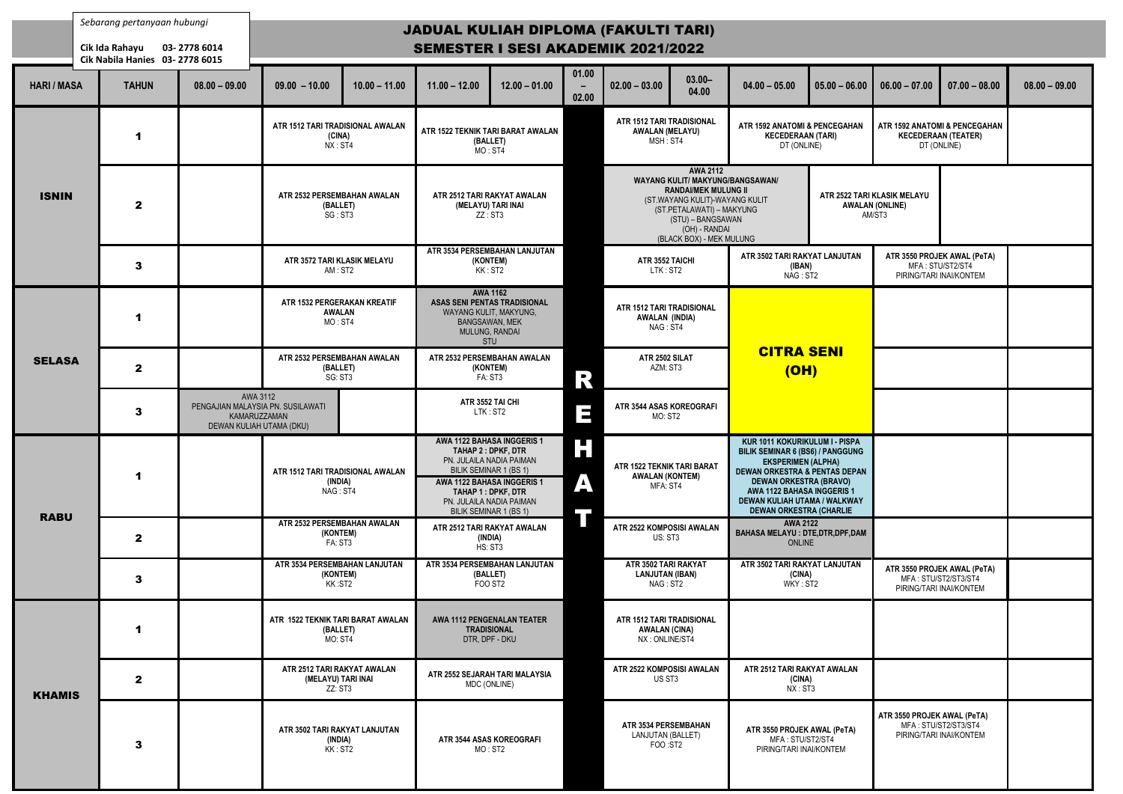|                    | Sebarang pertanyaan hubungi<br>Cik Ida Rahayu<br>Cik Nabila Hanies 03-2778 6015 | 03-2778 6014    | <b>JADUAL KULIAH DIPLOMA (FAKULTI TARI)</b><br><b>SEMESTER I SESI AKADEMIK 2021/2022</b>  |                 |                                                                                                                                                                                         |                                   |                                                                  |                                                                                                                                                                                                                            |                                                                                                                                                                                                                                                   |                                                                          |                 |
|--------------------|---------------------------------------------------------------------------------|-----------------|-------------------------------------------------------------------------------------------|-----------------|-----------------------------------------------------------------------------------------------------------------------------------------------------------------------------------------|-----------------------------------|------------------------------------------------------------------|----------------------------------------------------------------------------------------------------------------------------------------------------------------------------------------------------------------------------|---------------------------------------------------------------------------------------------------------------------------------------------------------------------------------------------------------------------------------------------------|--------------------------------------------------------------------------|-----------------|
| <b>HARI / MASA</b> | <b>TAHUN</b>                                                                    | $08.00 - 09.00$ | $09.00 - 10.00$                                                                           | $10.00 - 11.00$ | $11.00 - 12.00$                                                                                                                                                                         | $12.00 - 01.00$                   | 01.00<br>$\overline{\phantom{0}}$<br>02.00                       | $02.00 - 03.00$                                                                                                                                                                                                            | $03.00 -$<br>04.00                                                                                                                                                                                                                                | $04.00 - 05.00$                                                          | $05.00 - 06.00$ |
| <b>ISNIN</b>       | 1                                                                               |                 | ATR 1512 TARI TRADISIONAL AWALAN<br>(CINA)<br>NX: ST4                                     |                 | (BALLET)<br>MO: ST4                                                                                                                                                                     | ATR 1522 TEKNIK TARI BARAT AWALAN |                                                                  | ATR 1512 TARI TRADISIONAL<br><b>AWALAN (MELAYU)</b><br>MSH: ST4                                                                                                                                                            |                                                                                                                                                                                                                                                   | ATR 1592 ANATOMI & PENCEGAHAN<br><b>KECEDERAAN (TARI)</b><br>DT (ONLINE) |                 |
|                    | $\mathbf{2}$                                                                    |                 | ATR 2532 PERSEMBAHAN AWALAN<br>(BALLET)<br>SG: ST3                                        |                 | ATR 2512 TARI RAKYAT AWALAN<br>(MELAYU) TARI INAI<br>ZZ:ST3                                                                                                                             |                                   |                                                                  | <b>AWA 2112</b><br><b>WAYANG KULIT/ MAKYUNG/BANGSAWAN/</b><br><b>RANDAI/MEK MULUNG II</b><br>(ST.WAYANG KULIT)-WAYANG KULIT<br>(ST.PETALAWATI) - MAKYUNG<br>(STU) - BANGSAWAN<br>(OH) - RANDAI<br>(BLACK BOX) - MEK MULUNG |                                                                                                                                                                                                                                                   | <b>ATR 2522 TAR</b><br><b>AWALA</b><br>А                                 |                 |
|                    | 3                                                                               |                 | ATR 3572 TARI KLASIK MELAYU<br>AM: ST2                                                    |                 | ATR 3534 PERSEMBAHAN LANJUTAN<br>(KONTEM)<br>KK: ST2                                                                                                                                    |                                   | ATR 3552 TAICHI<br>LTK: ST2                                      |                                                                                                                                                                                                                            | ATR 3502 TARI RAKYAT LANJUTAN<br>(IBAN)<br>NAG: ST2                                                                                                                                                                                               |                                                                          |                 |
| <b>SELASA</b>      | 1                                                                               |                 | ATR 1532 PERGERAKAN KREATIF<br><b>AWALAN</b><br>MO: ST4                                   |                 | <b>AWA 1162</b><br>ASAS SENI PENTAS TRADISIONAL<br>WAYANG KULIT, MAKYUNG,<br><b>BANGSAWAN, MEK</b><br>MULUNG, RANDAI<br>STU                                                             |                                   | ATR 1512 TARI TRADISIONAL<br><b>AWALAN (INDIA)</b><br>NAG: ST4   |                                                                                                                                                                                                                            |                                                                                                                                                                                                                                                   |                                                                          |                 |
|                    | $\mathbf{2}$                                                                    |                 | ATR 2532 PERSEMBAHAN AWALAN<br>(BALLET)<br>SG: ST3                                        |                 | ATR 2532 PERSEMBAHAN AWALAN<br>(KONTEM)<br>FA: ST3                                                                                                                                      | $\mathbb{R}$                      | ATR 2502 SILAT<br>AZM: ST3                                       |                                                                                                                                                                                                                            | <b>CITRA SENI</b><br>(OH)                                                                                                                                                                                                                         |                                                                          |                 |
|                    | 3                                                                               |                 | AWA 3112<br>PENGAJIAN MALAYSIA PN. SUSILAWATI<br>KAMARUZZAMAN<br>DEWAN KULIAH UTAMA (DKU) |                 |                                                                                                                                                                                         | ATR 3552 TAI CHI<br>LTK: ST2      | Ш                                                                | ATR 3544 ASAS KOREOGRAFI<br>MO: ST2                                                                                                                                                                                        |                                                                                                                                                                                                                                                   |                                                                          |                 |
| <b>RABU</b>        | 1                                                                               |                 | ATR 1512 TARI TRADISIONAL AWALAN<br>(INDIA)<br>NAG: ST4                                   |                 | AWA 1122 BAHASA INGGERIS 1<br>TAHAP 2: DPKF, DTR<br>PN. JULAILA NADIA PAIMAN<br>BILIK SEMINAR 1 (BS 1)<br>AWA 1122 BAHASA INGGERIS 1<br>TAHAP 1 : DPKF, DTR<br>PN. JULAILA NADIA PAIMAN | H<br>Ą                            | ATR 1522 TEKNIK TARI BARAT<br><b>AWALAN (KONTEM)</b><br>MFA: ST4 |                                                                                                                                                                                                                            | KUR 1011 KOKURIKULUM I - PISPA<br><b>BILIK SEMINAR 6 (BS6) / PANGGUNG</b><br><b>EKSPERIMEN (ALPHA)</b><br><b>DEWAN ORKESTRA &amp; PENTAS DEPAN</b><br><b>DEWAN ORKESTRA (BRAVO)</b><br>AWA 1122 BAHASA INGGERIS 1<br>DEWAN KULIAH UTAMA / WALKWAY |                                                                          |                 |
|                    | $\mathbf{2}$                                                                    |                 | ATR 2532 PERSEMBAHAN AWALAN<br>(KONTEM)<br>FA: ST3                                        |                 | BILIK SEMINAR 1 (BS 1)<br>ATR 2512 TARI RAKYAT AWALAN<br>(INDIA)<br>HS: ST3                                                                                                             |                                   | ATR 2522 KOMPOSISI AWALAN<br>US: ST3                             |                                                                                                                                                                                                                            | <b>DEWAN ORKESTRA (CHARLIE</b><br><b>AWA 2122</b><br><b>BAHASA MELAYU : DTE, DTR, DPF, DAM</b><br>ONLINE                                                                                                                                          |                                                                          |                 |
|                    | 3                                                                               |                 | ATR 3534 PERSEMBAHAN LANJUTAN<br>(KONTEM)<br>KK:ST2                                       |                 | ATR 3534 PERSEMBAHAN LANJUTAN<br>(BALLET)<br>FOO ST <sub>2</sub>                                                                                                                        |                                   |                                                                  | ATR 3502 TARI RAKYAT<br><b>LANJUTAN (IBAN)</b><br>NAG: ST2                                                                                                                                                                 |                                                                                                                                                                                                                                                   | ATR 3502 TARI RAKYAT LANJUTAN<br>(CINA)<br>WKY: ST2                      |                 |
| <b>KHAMIS</b>      | 1                                                                               |                 | ATR 1522 TEKNIK TARI BARAT AWALAN<br>(BALLET)<br>MO: ST4                                  |                 | AWA 1112 PENGENALAN TEATER<br><b>TRADISIONAL</b><br>DTR, DPF - DKU                                                                                                                      |                                   |                                                                  | ATR 1512 TARI TRADISIONAL<br><b>AWALAN (CINA)</b><br>NX: ONLINE/ST4                                                                                                                                                        |                                                                                                                                                                                                                                                   |                                                                          |                 |
|                    | $\mathbf{2}$                                                                    |                 | ATR 2512 TARI RAKYAT AWALAN<br>(MELAYU) TARI INAI<br>ZZ: ST3                              |                 | ATR 2552 SEJARAH TARI MALAYSIA<br>MDC (ONLINE)                                                                                                                                          |                                   |                                                                  | ATR 2522 KOMPOSISI AWALAN<br>US ST3                                                                                                                                                                                        |                                                                                                                                                                                                                                                   | ATR 2512 TARI RAKYAT AWALAN<br>(CINA)<br>NX:ST3                          |                 |
|                    | 3                                                                               |                 | ATR 3502 TARI RAKYAT LANJUTAN<br>(INDIA)<br>KK: ST2                                       |                 | ATR 3544 ASAS KOREOGRAFI<br>MO: ST2                                                                                                                                                     |                                   | ATR 3534 PERSEMBAHAN<br>LANJUTAN (BALLET)<br>FOO :ST2            |                                                                                                                                                                                                                            | ATR 3550 PROJEK AWAL (PeTA)<br>MFA: STU/ST2/ST4<br>PIRING/TARI INAI/KONTEM                                                                                                                                                                        |                                                                          |                 |

| ▙▟▖                                                                                                                                            |                                                                                                                                                                                                                                                                                     |                 |                                                                            |                                                                            |                 |
|------------------------------------------------------------------------------------------------------------------------------------------------|-------------------------------------------------------------------------------------------------------------------------------------------------------------------------------------------------------------------------------------------------------------------------------------|-----------------|----------------------------------------------------------------------------|----------------------------------------------------------------------------|-----------------|
| $3.00 -$<br>04.00                                                                                                                              | $04.00 - 05.00$                                                                                                                                                                                                                                                                     | $05.00 - 06.00$ | $06.00 - 07.00$                                                            | $07.00 - 08.00$                                                            | $08.00 - 09.00$ |
| ISIONAL<br>YU)                                                                                                                                 | <b>ATR 1592 ANATOMI &amp; PENCEGAHAN</b><br><b>KECEDERAAN (TARI)</b><br>DT (ONLINE)                                                                                                                                                                                                 |                 | ATR 1592 ANATOMI & PENCEGAHAN<br><b>KECEDERAAN (TEATER)</b><br>DT (ONLINE) |                                                                            |                 |
| <b>AWA 2112</b><br><b>II/MEK MULUNG II</b><br>KULIT)-WAYANG KULIT<br><b>AWATI) - MAKYUNG</b><br>- BANGSAWAN<br>H) - RANDAI<br>OX) - MEK MULUNG | / MAKYUNG/BANGSAWAN/                                                                                                                                                                                                                                                                |                 | ATR 2522 TARI KLASIK MELAYU<br><b>AWALAN (ONLINE)</b><br>AM/ST3            |                                                                            |                 |
| HI                                                                                                                                             | ATR 3502 TARI RAKYAT LANJUTAN<br>(IBAN)<br>NAG: ST2                                                                                                                                                                                                                                 |                 |                                                                            | ATR 3550 PROJEK AWAL (PeTA)<br>MFA: STU/ST2/ST4<br>PIRING/TARI INAI/KONTEM |                 |
| <b>ISIONAL</b><br>A)                                                                                                                           |                                                                                                                                                                                                                                                                                     |                 |                                                                            |                                                                            |                 |
| T                                                                                                                                              | <b>CITRA SENI</b><br>(OH)                                                                                                                                                                                                                                                           |                 |                                                                            |                                                                            |                 |
| :OGRAFI                                                                                                                                        |                                                                                                                                                                                                                                                                                     |                 |                                                                            |                                                                            |                 |
| <b>I BARAT</b><br>EM)                                                                                                                          | KUR 1011 KOKURIKULUM I - PISPA<br>BILIK SEMINAR 6 (BS6) / PANGGUNG<br><b>EKSPERIMEN (ALPHA)</b><br><b>DEWAN ORKESTRA &amp; PENTAS DEPAN</b><br><b>DEWAN ORKESTRA (BRAVO)</b><br><b>AWA 1122 BAHASA INGGERIS 1</b><br>DEWAN KULIAH UTAMA / WALKWAY<br><b>DEWAN ORKESTRA (CHARLIE</b> |                 |                                                                            |                                                                            |                 |
| AWALAN                                                                                                                                         | <b>AWA 2122</b><br><b>BAHASA MELAYU : DTE, DTR, DPF, DAM</b><br><b>ONLINE</b>                                                                                                                                                                                                       |                 |                                                                            |                                                                            |                 |
| KYAT<br>N)                                                                                                                                     | ATR 3502 TARI RAKYAT LANJUTAN<br>(CINA)<br>WKY: ST2                                                                                                                                                                                                                                 |                 | ATR 3550 PROJEK AWAL (PeTA)                                                | MFA: STU/ST2/ST3/ST4<br>PIRING/TARI INAI/KONTEM                            |                 |
| ISIONAL<br>V)<br>-4                                                                                                                            |                                                                                                                                                                                                                                                                                     |                 |                                                                            |                                                                            |                 |
| AWALAN                                                                                                                                         | ATR 2512 TARI RAKYAT AWALAN<br>(CINA)<br>NX: ST3                                                                                                                                                                                                                                    |                 |                                                                            |                                                                            |                 |
| <b>AHAN</b><br>ET)                                                                                                                             | ATR 3550 PROJEK AWAL (PeTA)<br>MFA: STU/ST2/ST4<br>PIRING/TARI INAI/KONTEM                                                                                                                                                                                                          |                 | ATR 3550 PROJEK AWAL (PeTA)                                                | MFA: STU/ST2/ST3/ST4<br>PIRING/TARI INAI/KONTEM                            |                 |